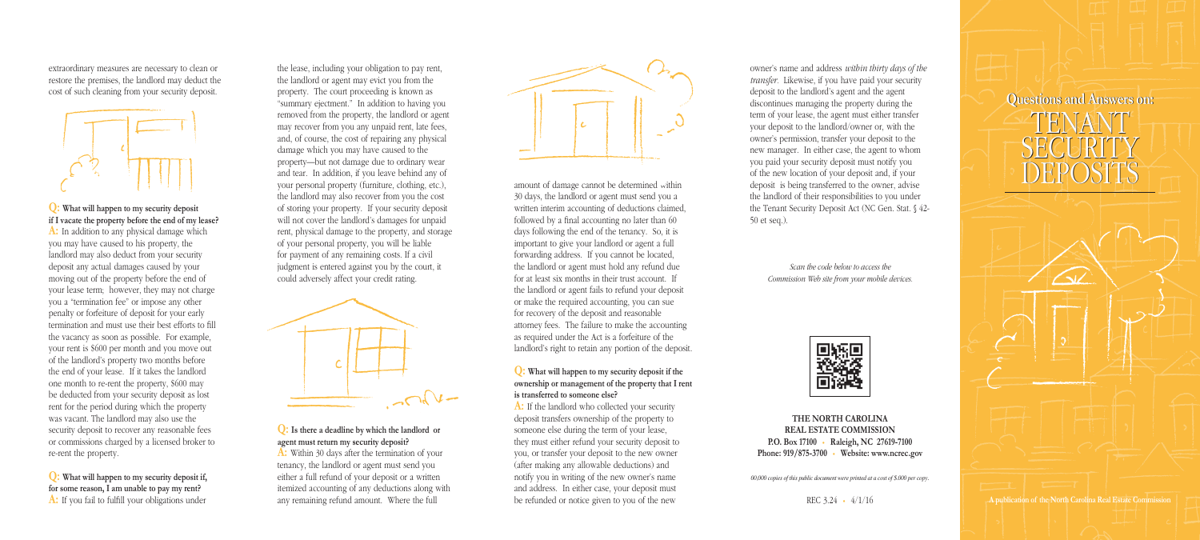owner's name and address *within thirty days of the transfer.* Likewise, if you have paid your security deposit to the landlord's agent and the agent discontinues managing the property during the term of your lease, the agent must either transfer your deposit to the landlord/owner or, with the owner's permission, transfer your deposit to the new manager. In either case, the agent to whom you paid your security deposit must notify you of the new location of your deposit and, if your deposit is being transferred to the owner, advise the landlord of their responsibilities to you under the Tenant Security Deposit Act (NC Gen. Stat. § 42- 50 et seq.).

> *Scan the code below to access the Commission Web site from your mobile devices.*



**THE NORTH CAROLINA REAL ESTATE COMMISSION P.O. Box 17100** • **Raleigh, NC 27619-7100 Phone: 919/875-3700** • **Website: www.ncrec.gov**

*00,000 copies of this public document were printed at a cost of \$.000 per copy.*

REC 3.24 • 4/1/16

extraordinary measures are necessary to clean or restore the premises, the landlord may deduct the cost of such cleaning from your security deposit.



**Q: What will happen to my security deposit if I vacate the property before the end of my lease? A:** In addition to any physical damage which you may have caused to his property, the landlord may also deduct from your security deposit any actual damages caused by your moving out of the property before the end of your lease term; however, they may not charge you a "termination fee" or impose any other penalty or forfeiture of deposit for your early termination and must use their best efforts to fill the vacancy as soon as possible. For example, your rent is \$600 per month and you move out of the landlord's property two months before the end of your lease. If it takes the landlord one month to re-rent the property, \$600 may be deducted from your security deposit as lost rent for the period during which the property was vacant. The landlord may also use the security deposit to recover any reasonable fees or commissions charged by a licensed broker to re-rent the property.

**Q: What will happen to my security deposit if, for some reason, I am unable to pay my rent? A:** If you fail to fulfill your obligations under the lease, including your obligation to pay rent, the landlord or agent may evict you from the property. The court proceeding is known as "summary ejectment." In addition to having you removed from the property, the landlord or agent may recover from you any unpaid rent, late fees, and, of course, the cost of repairing any physical damage which you may have caused to the property—but not damage due to ordinary wear and tear. In addition, if you leave behind any of your personal property (furniture, clothing, etc.), the landlord may also recover from you the cost of storing your property. If your security deposit will not cover the landlord's damages for unpaid rent, physical damage to the property, and storage of your personal property, you will be liable for payment of any remaining costs. If a civil judgment is entered against you by the court, it could adversely affect your credit rating.



# **Q: Is there a deadline by which the landlord or agent must return my security deposit?**

**A:** Within 30 days after the termination of your tenancy, the landlord or agent must send you either a full refund of your deposit or a written itemized accounting of any deductions along with any remaining refund amount. Where the full



amount of damage cannot be determined within 30 days, the landlord or agent must send you a written interim accounting of deductions claimed, followed by a final accounting no later than 60 days following the end of the tenancy. So, it is important to give your landlord or agent a full forwarding address. If you cannot be located, the landlord or agent must hold any refund due for at least six months in their trust account. If the landlord or agent fails to refund your deposit or make the required accounting, you can sue for recovery of the deposit and reasonable attorney fees. The failure to make the accounting as required under the Act is a forfeiture of the landlord's right to retain any portion of the deposit.

#### **Q: What will happen to my security deposit if the ownership or management of the property that I rent is transferred to someone else?**

**A:** If the landlord who collected your security deposit transfers ownership of the property to someone else during the term of your lease, they must either refund your security deposit to you, or transfer your deposit to the new owner (after making any allowable deductions) and notify you in writing of the new owner's name and address. In either case, your deposit must be refunded or notice given to you of the new



**A publication of the North Carolina Real Estate Commission**